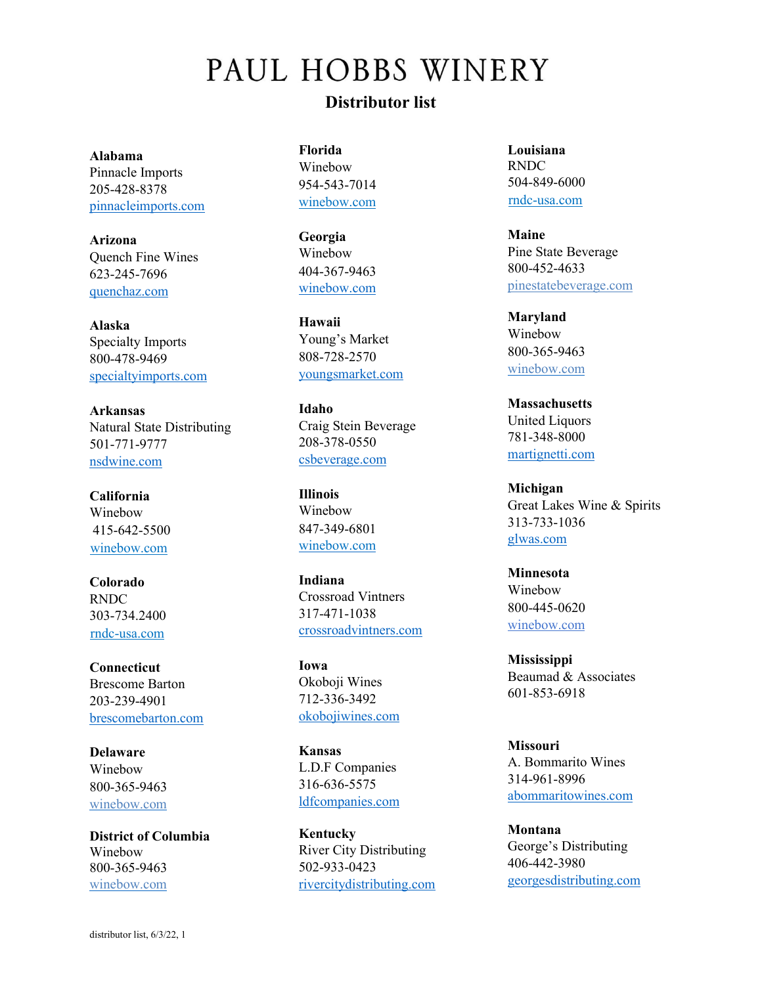## PAUL HOBBS WINERY **Distributor list**

**Alabama**  Pinnacle Imports 205-428-8378 pinnacleimports.com

**Arizona** Quench Fine Wines 623-245-7696 quenchaz.com

**Alaska** Specialty Imports 800-478-9469 specialtyimports.com

**Arkansas** Natural State Distributing 501-771-9777 nsdwine.com

**California** Winebow 415-642-5500 [winebow.com](http://www.winebow.com/)

**Colorado**  RNDC 303-734.2400 [rndc-usa.com](http://www.rndc-usa.com/)

**Connecticut**  Brescome Barton 203-239-4901 [brescomebarton.com](https://ecommerce.brescomebarton.com/)

**Delaware** Winebow 800-365-9463 [winebow.com](http://www.thewinebowgroup.com/)

**District of Columbia**  Winebow 800-365-9463 [winebow.com](http://www.thewinebowgroup.com/)

**Florida** Winebow 954-543-7014 [winebow.com](http://www.winebow.com/)

**Georgia** Winebow 404-367-9463 [winebow.com](http://www.qwine.com/)

**Hawaii** Young's Market 808-728-2570 [youngsmarket.com](http://www.chamberswines.com/)

**Idaho** Craig Stein Beverage 208-378-0550 csbeverage.com

**Illinois** Winebow 847-349-6801 [winebow.com](http://www.thewinebow.com/)

**Indiana** Crossroad Vintners 317-471-1038 crossroadvintners.com

**Iowa** Okoboji Wines 712-336-3492 okobojiwines.com

**Kansas** L.D.F Companies 316-636-5575 ldfcompanies.com

**Kentucky** River City Distributing 502-933-0423 [rivercitydistributin](http://www.rivercitydistributing.com/)g.com **Louisiana** RNDC 504-849-6000 [rndc-usa.com](http://www.rndc-usa.com/)

**Maine**  Pine State Beverage 800-452-4633 [pinestatebeverage.com](https://www.pinestatebeverage.com/?age-verified=378292a898)

**Maryland** Winebow 800-365-9463 [winebow.com](http://www.thewinebowgroup.com/)

**Massachusetts**  United Liquors 781-348-8000 martignetti.com

**Michigan** Great Lakes Wine & Spirits 313-733-1036 glwas.com

**Minnesota** Winebow 800-445-0620 [winebow.com](http://www.thewinebowgroup.com/)

**Mississippi** Beaumad & Associates 601-853-6918

**Missouri** A. Bommarito Wines 314-961-8996 abommaritowines.com

**Montana** George's Distributing 406-442-3980 [georgesdistributing.com](http://www.georgesdistributing.com/)